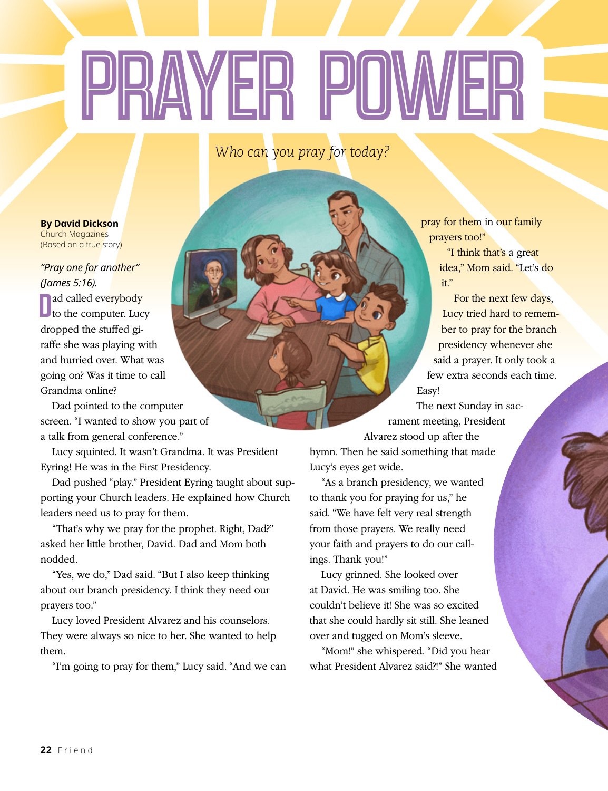## PRAYER POWER

*Who can you pray for today?*

## **By David Dickson** Church Magazines (Based on a true story)

*"Pray one for another" (James 5:16).*

Dad called everybody<br>to the computer. Lucy ad called everybody dropped the stuffed giraffe she was playing with and hurried over. What was going on? Was it time to call Grandma online?

Dad pointed to the computer screen. "I wanted to show you part of a talk from general conference."

Lucy squinted. It wasn't Grandma. It was President Eyring! He was in the First Presidency.

Dad pushed "play." President Eyring taught about supporting your Church leaders. He explained how Church leaders need us to pray for them.

"That's why we pray for the prophet. Right, Dad?" asked her little brother, David. Dad and Mom both nodded.

"Yes, we do," Dad said. "But I also keep thinking about our branch presidency. I think they need our prayers too."

Lucy loved President Alvarez and his counselors. They were always so nice to her. She wanted to help them.

"I'm going to pray for them," Lucy said. "And we can

pray for them in our family prayers too!"

> "I think that's a great idea," Mom said. "Let's do it."

For the next few days, Lucy tried hard to remember to pray for the branch presidency whenever she said a prayer. It only took a few extra seconds each time. Easy!

The next Sunday in sacrament meeting, President

Alvarez stood up after the hymn. Then he said something that made Lucy's eyes get wide.

"As a branch presidency, we wanted to thank you for praying for us," he said. "We have felt very real strength from those prayers. We really need your faith and prayers to do our callings. Thank you!"

Lucy grinned. She looked over at David. He was smiling too. She couldn't believe it! She was so excited that she could hardly sit still. She leaned over and tugged on Mom's sleeve.

"Mom!" she whispered. "Did you hear what President Alvarez said?!" She wanted